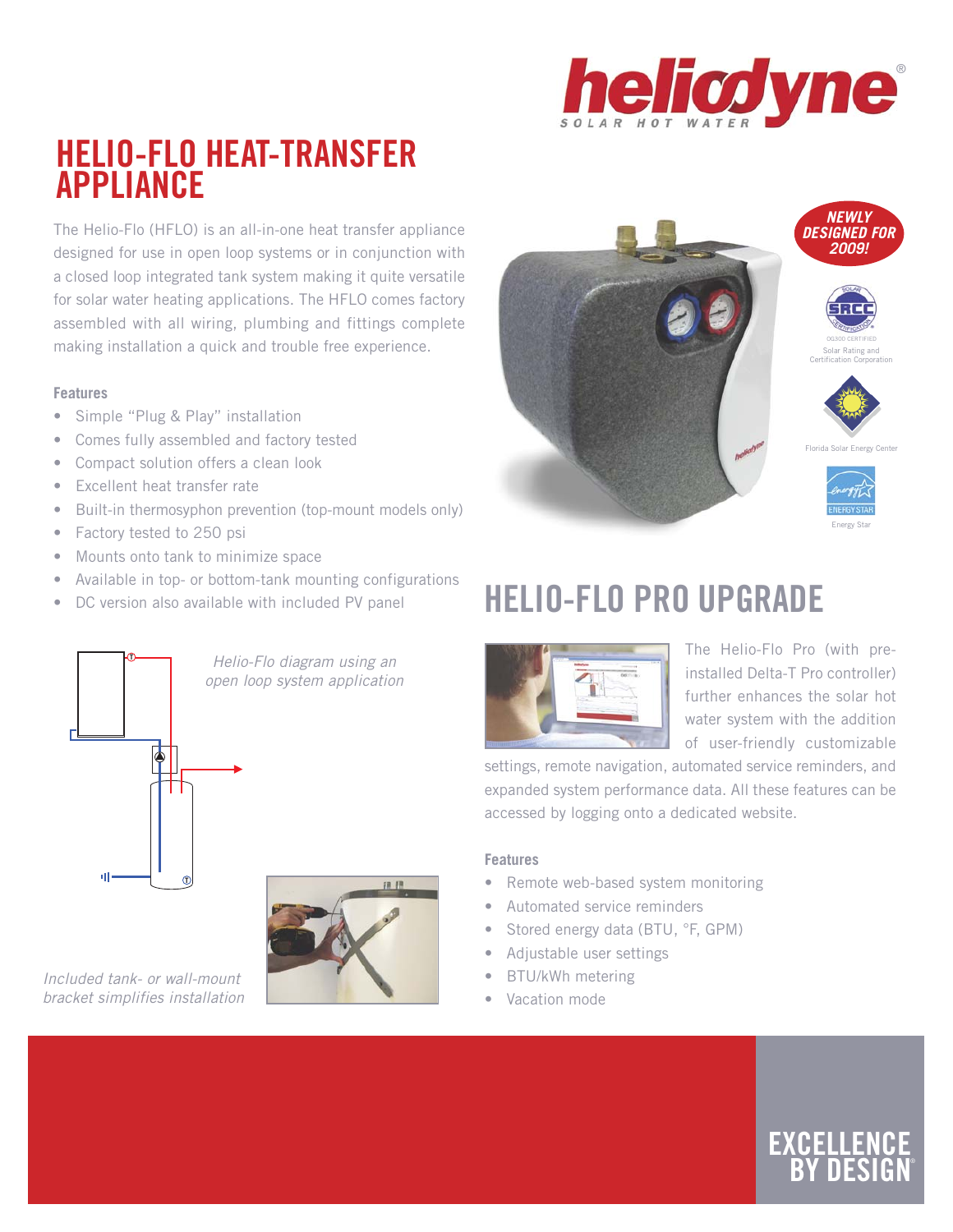

### **HELIO-FLO HEAT-TRANSFER APPLIANCE**

The Helio-Flo (HFLO) is an all-in-one heat transfer appliance designed for use in open loop systems or in conjunction with a closed loop integrated tank system making it quite versatile for solar water heating applications. The HFLO comes factory assembled with all wiring, plumbing and fittings complete making installation a quick and trouble free experience.

#### **Features**

- Simple "Plug & Play" installation
- Comes fully assembled and factory tested
- Compact solution offers a clean look
- Excellent heat transfer rate
- Built-in thermosyphon prevention (top-mount models only)
- Factory tested to 250 psi
- Mounts onto tank to minimize space
- Available in top- or bottom-tank mounting configurations
- DC version also available with included PV panel



Included tank- or wall-mount bracket simplifies installation



## **HELIO-FLO PRO UPGRADE**



The Helio-Flo Pro (with preinstalled Delta-T Pro controller) further enhances the solar hot water system with the addition of user-friendly customizable

settings, remote navigation, automated service reminders, and expanded system performance data. All these features can be accessed by logging onto a dedicated website.

### **Features**

- Remote web-based system monitoring
- Automated service reminders
- Stored energy data (BTU, °F, GPM)
- Adjustable user settings
- BTU/kWh metering
- Vacation mode